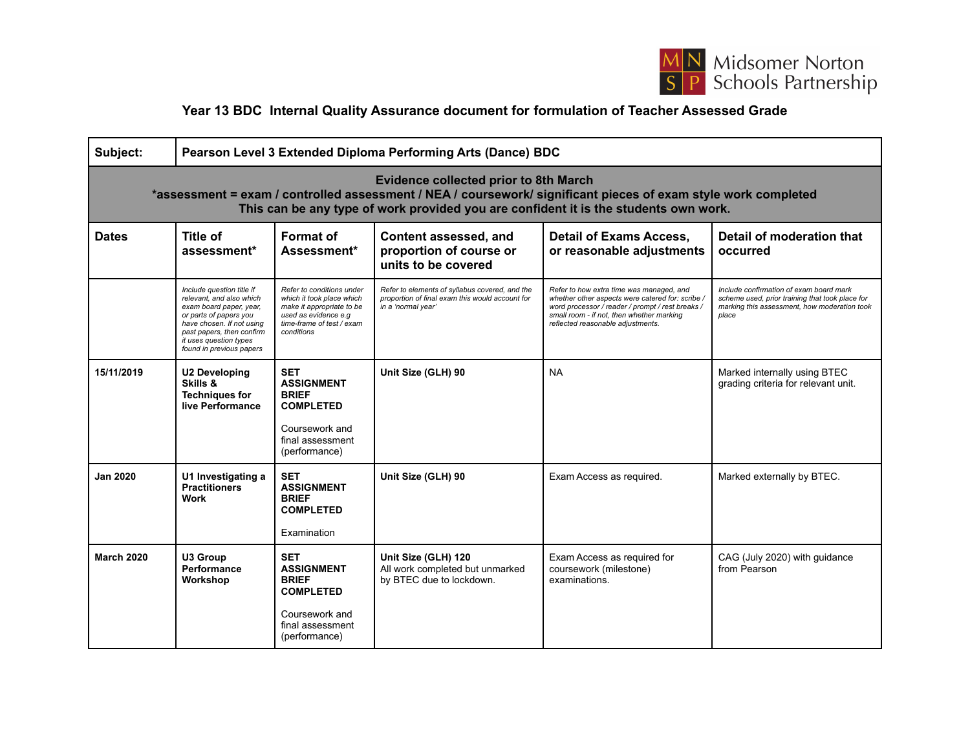

## **Year 13 BDC Internal Quality Assurance document for formulation of Teacher Assessed Grade**

| Subject:                                                                                                                                                                                                                                               | Pearson Level 3 Extended Diploma Performing Arts (Dance) BDC                                                                                                                                                               |                                                                                                                                                        |                                                                                                                         |                                                                                                                                                                                                                                    |                                                                                                                                                     |  |  |  |
|--------------------------------------------------------------------------------------------------------------------------------------------------------------------------------------------------------------------------------------------------------|----------------------------------------------------------------------------------------------------------------------------------------------------------------------------------------------------------------------------|--------------------------------------------------------------------------------------------------------------------------------------------------------|-------------------------------------------------------------------------------------------------------------------------|------------------------------------------------------------------------------------------------------------------------------------------------------------------------------------------------------------------------------------|-----------------------------------------------------------------------------------------------------------------------------------------------------|--|--|--|
| <b>Evidence collected prior to 8th March</b><br>*assessment = exam / controlled assessment / NEA / coursework/ significant pieces of exam style work completed<br>This can be any type of work provided you are confident it is the students own work. |                                                                                                                                                                                                                            |                                                                                                                                                        |                                                                                                                         |                                                                                                                                                                                                                                    |                                                                                                                                                     |  |  |  |
| <b>Dates</b>                                                                                                                                                                                                                                           | Title of<br>assessment*                                                                                                                                                                                                    | Format of<br>Assessment*                                                                                                                               | Content assessed, and<br>proportion of course or<br>units to be covered                                                 | <b>Detail of Exams Access,</b><br>or reasonable adjustments                                                                                                                                                                        | Detail of moderation that<br>occurred                                                                                                               |  |  |  |
|                                                                                                                                                                                                                                                        | Include question title if<br>relevant, and also which<br>exam board paper, year,<br>or parts of papers you<br>have chosen. If not using<br>past papers, then confirm<br>it uses question types<br>found in previous papers | Refer to conditions under<br>which it took place which<br>make it appropriate to be<br>used as evidence e.g<br>time-frame of test / exam<br>conditions | Refer to elements of syllabus covered, and the<br>proportion of final exam this would account for<br>in a 'normal year' | Refer to how extra time was managed, and<br>whether other aspects were catered for: scribe /<br>word processor / reader / prompt / rest breaks /<br>small room - if not, then whether marking<br>reflected reasonable adjustments. | Include confirmation of exam board mark<br>scheme used, prior training that took place for<br>marking this assessment, how moderation took<br>place |  |  |  |
| 15/11/2019                                                                                                                                                                                                                                             | <b>U2 Developing</b><br>Skills &<br><b>Techniques for</b><br>live Performance                                                                                                                                              | <b>SET</b><br><b>ASSIGNMENT</b><br><b>BRIEF</b><br><b>COMPLETED</b><br>Coursework and<br>final assessment<br>(performance)                             | Unit Size (GLH) 90                                                                                                      | <b>NA</b>                                                                                                                                                                                                                          | Marked internally using BTEC<br>grading criteria for relevant unit.                                                                                 |  |  |  |
| <b>Jan 2020</b>                                                                                                                                                                                                                                        | U1 Investigating a<br><b>Practitioners</b><br><b>Work</b>                                                                                                                                                                  | <b>SET</b><br><b>ASSIGNMENT</b><br><b>BRIEF</b><br><b>COMPLETED</b><br>Examination                                                                     | Unit Size (GLH) 90                                                                                                      | Exam Access as required.                                                                                                                                                                                                           | Marked externally by BTEC.                                                                                                                          |  |  |  |
| <b>March 2020</b>                                                                                                                                                                                                                                      | U3 Group<br>Performance<br>Workshop                                                                                                                                                                                        | <b>SET</b><br><b>ASSIGNMENT</b><br><b>BRIEF</b><br><b>COMPLETED</b><br>Coursework and<br>final assessment<br>(performance)                             | Unit Size (GLH) 120<br>All work completed but unmarked<br>by BTEC due to lockdown.                                      | Exam Access as required for<br>coursework (milestone)<br>examinations.                                                                                                                                                             | CAG (July 2020) with guidance<br>from Pearson                                                                                                       |  |  |  |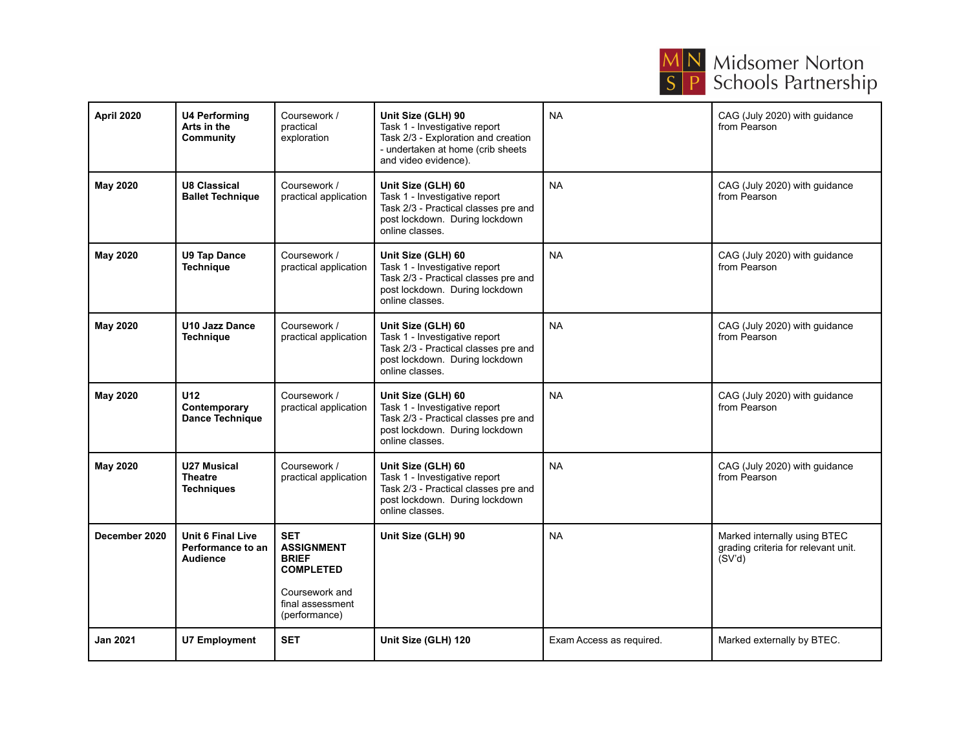

| April 2020      | <b>U4 Performing</b><br>Arts in the<br>Community                 | Coursework /<br>practical<br>exploration                                                                                   | Unit Size (GLH) 90<br>Task 1 - Investigative report<br>Task 2/3 - Exploration and creation<br>- undertaken at home (crib sheets<br>and video evidence). | <b>NA</b>                | CAG (July 2020) with guidance<br>from Pearson                                 |
|-----------------|------------------------------------------------------------------|----------------------------------------------------------------------------------------------------------------------------|---------------------------------------------------------------------------------------------------------------------------------------------------------|--------------------------|-------------------------------------------------------------------------------|
| <b>May 2020</b> | <b>U8 Classical</b><br><b>Ballet Technique</b>                   | Coursework /<br>practical application                                                                                      | Unit Size (GLH) 60<br>Task 1 - Investigative report<br>Task 2/3 - Practical classes pre and<br>post lockdown. During lockdown<br>online classes.        | <b>NA</b>                | CAG (July 2020) with guidance<br>from Pearson                                 |
| <b>May 2020</b> | <b>U9 Tap Dance</b><br><b>Technique</b>                          | Coursework /<br>practical application                                                                                      | Unit Size (GLH) 60<br>Task 1 - Investigative report<br>Task 2/3 - Practical classes pre and<br>post lockdown. During lockdown<br>online classes.        | <b>NA</b>                | CAG (July 2020) with quidance<br>from Pearson                                 |
| <b>May 2020</b> | <b>U10 Jazz Dance</b><br><b>Technique</b>                        | Coursework /<br>practical application                                                                                      | Unit Size (GLH) 60<br>Task 1 - Investigative report<br>Task 2/3 - Practical classes pre and<br>post lockdown. During lockdown<br>online classes.        | <b>NA</b>                | CAG (July 2020) with guidance<br>from Pearson                                 |
| <b>May 2020</b> | U <sub>12</sub><br>Contemporary<br>Dance Technique               | Coursework /<br>practical application                                                                                      | Unit Size (GLH) 60<br>Task 1 - Investigative report<br>Task 2/3 - Practical classes pre and<br>post lockdown. During lockdown<br>online classes.        | <b>NA</b>                | CAG (July 2020) with guidance<br>from Pearson                                 |
| <b>May 2020</b> | <b>U27 Musical</b><br><b>Theatre</b><br>Techniques               | Coursework /<br>practical application                                                                                      | Unit Size (GLH) 60<br>Task 1 - Investigative report<br>Task 2/3 - Practical classes pre and<br>post lockdown. During lockdown<br>online classes.        | <b>NA</b>                | CAG (July 2020) with guidance<br>from Pearson                                 |
| December 2020   | <b>Unit 6 Final Live</b><br>Performance to an<br><b>Audience</b> | <b>SET</b><br><b>ASSIGNMENT</b><br><b>BRIEF</b><br><b>COMPLETED</b><br>Coursework and<br>final assessment<br>(performance) | Unit Size (GLH) 90                                                                                                                                      | <b>NA</b>                | Marked internally using BTEC<br>grading criteria for relevant unit.<br>(SV'd) |
| <b>Jan 2021</b> | <b>U7 Employment</b>                                             | <b>SET</b>                                                                                                                 | Unit Size (GLH) 120                                                                                                                                     | Exam Access as required. | Marked externally by BTEC.                                                    |